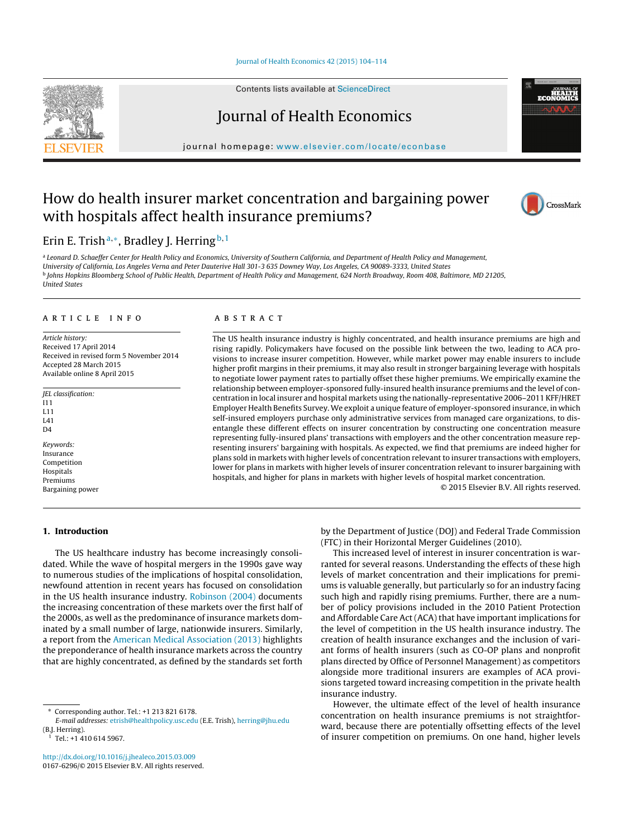### Journal of Health [Economics](dx.doi.org/10.1016/j.jhealeco.2015.03.009) 42 (2015) 104–114

Contents lists available at [ScienceDirect](http://www.sciencedirect.com/science/journal/01676296)

# Journal of Health Economics

journal homepage: [www.elsevier.com/locate/econbase](http://www.elsevier.com/locate/econbase)

# How do health insurer market concentration and bargaining power with hospitals affect health insurance premiums?



# Erin E. Trish<sup>a,∗</sup>, Bradley J. Herring<sup>b,1</sup>

a Leonard D. Schaeffer Center for Health Policy and Economics, University of Southern California, and Department of Health Policy and Management, University of California, Los Angeles Verna and Peter Dauterive Hall 301-3 635 Downey Way, Los Angeles, CA 90089-3333, United States <sup>b</sup> Johns Hopkins Bloomberg School of Public Health, Department of Health Policy and Management, 624 North Broadway, Room 408, Baltimore, MD 21205, United States

## a r t i c l e i n f o

Article history: Received 17 April 2014 Received in revised form 5 November 2014 Accepted 28 March 2015 Available online 8 April 2015

JEL classification: I11 L11 L41  $\mathsf{D}4$ 

Keywords: Insurance Competition **Hospitals** Premiums Bargaining power

# A B S T R A C T

The US health insurance industry is highly concentrated, and health insurance premiums are high and rising rapidly. Policymakers have focused on the possible link between the two, leading to ACA provisions to increase insurer competition. However, while market power may enable insurers to include higher profit margins in their premiums, it may also result in stronger bargaining leverage with hospitals to negotiate lower payment rates to partially offset these higher premiums. We empirically examine the relationship between employer-sponsored fully-insured health insurance premiums and the level of concentration in local insurer and hospital markets using the nationally-representative 2006–2011 KFF/HRET Employer Health Benefits Survey. We exploit a unique feature of employer-sponsored insurance, in which self-insured employers purchase only administrative services from managed care organizations, to disentangle these different effects on insurer concentration by constructing one concentration measure representing fully-insured plans' transactions with employers and the other concentration measure representing insurers' bargaining with hospitals. As expected, we find that premiums are indeed higher for plans sold in markets with higher levels of concentration relevant to insurer transactions with employers, lower for plans in markets with higher levels of insurer concentration relevant to insurer bargaining with hospitals, and higher for plans in markets with higher levels of hospital market concentration.

© 2015 Elsevier B.V. All rights reserved.

# **1. Introduction**

The US healthcare industry has become increasingly consolidated. While the wave of hospital mergers in the 1990s gave way to numerous studies of the implications of hospital consolidation, newfound attention in recent years has focused on consolidation in the US health insurance industry. [Robinson](#page-10-0) [\(2004\)](#page-10-0) documents the increasing concentration of these markets over the first half of the 2000s, as well as the predominance of insurance markets dominated by a small number of large, nationwide insurers. Similarly, a report from the [American](#page-10-0) [Medical](#page-10-0) [Association](#page-10-0) [\(2013\)](#page-10-0) highlights the preponderance of health insurance markets across the country that are highly concentrated, as defined by the standards set forth

∗ Corresponding author. Tel.: +1 213 821 6178.

<sup>1</sup> Tel.: +1 410 614 5967.

by the Department of Justice (DOJ) and Federal Trade Commission (FTC) in their Horizontal Merger Guidelines (2010).

This increased level of interest in insurer concentration is warranted for several reasons. Understanding the effects of these high levels of market concentration and their implications for premiums is valuable generally, but particularly so for an industry facing such high and rapidly rising premiums. Further, there are a number of policy provisions included in the 2010 Patient Protection and Affordable Care Act (ACA) that have important implications for the level of competition in the US health insurance industry. The creation of health insurance exchanges and the inclusion of variant forms of health insurers (such as CO-OP plans and nonprofit plans directed by Office of Personnel Management) as competitors alongside more traditional insurers are examples of ACA provisions targeted toward increasing competition in the private health insurance industry.

However, the ultimate effect of the level of health insurance concentration on health insurance premiums is not straightforward, because there are potentially offsetting effects of the level of insurer competition on premiums. On one hand, higher levels



E-mail addresses: [etrish@healthpolicy.usc.edu](mailto:etrish@healthpolicy.usc.edu) (E.E. Trish), [herring@jhu.edu](mailto:herring@jhu.edu) (B.J. Herring).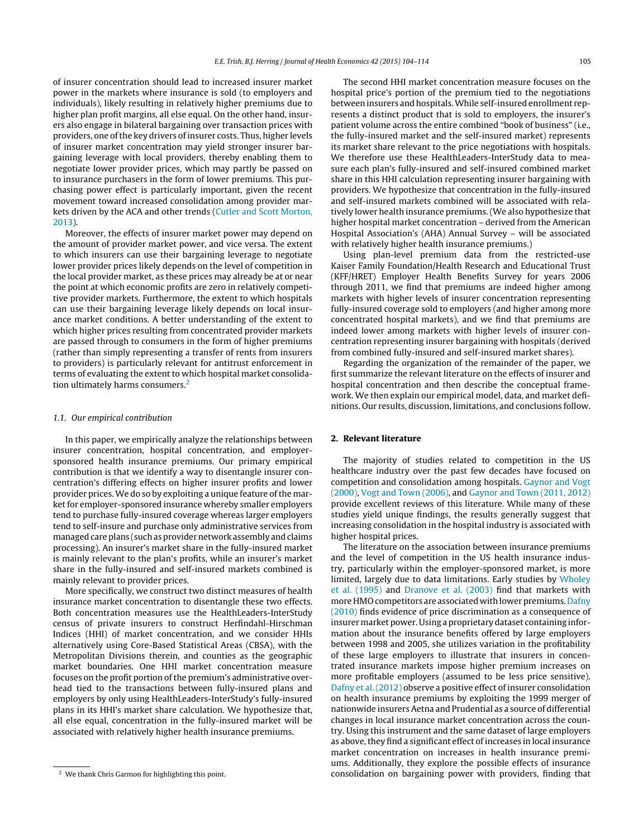of insurer concentration should lead to increased insurer market power in the markets where insurance is sold (to employers and individuals), likely resulting in relatively higher premiums due to higher plan profit margins, all else equal. On the other hand, insurers also engage in bilateral bargaining over transaction prices with providers, one of the key drivers of insurer costs. Thus, higher levels of insurer market concentration may yield stronger insurer bargaining leverage with local providers, thereby enabling them to negotiate lower provider prices, which may partly be passed on to insurance purchasers in the form of lower premiums. This purchasing power effect is particularly important, given the recent movement toward increased consolidation among provider markets driven by the ACA and other trends [\(Cutler](#page-10-0) [and](#page-10-0) [Scott](#page-10-0) [Morton,](#page-10-0) [2013\).](#page-10-0)

Moreover, the effects of insurer market power may depend on the amount of provider market power, and vice versa. The extent to which insurers can use their bargaining leverage to negotiate lower provider prices likely depends on the level of competition in the local provider market, as these prices may already be at or near the point at which economic profits are zero in relatively competitive provider markets. Furthermore, the extent to which hospitals can use their bargaining leverage likely depends on local insurance market conditions. A better understanding of the extent to which higher prices resulting from concentrated provider markets are passed through to consumers in the form of higher premiums (rather than simply representing a transfer of rents from insurers to providers) is particularly relevant for antitrust enforcement in terms of evaluating the extent to which hospital market consolidation ultimately harms consumers.<sup>2</sup>

### 1.1. Our empirical contribution

In this paper, we empirically analyze the relationships between insurer concentration, hospital concentration, and employersponsored health insurance premiums. Our primary empirical contribution is that we identify a way to disentangle insurer concentration's differing effects on higher insurer profits and lower provider prices. We do so by exploiting a unique feature ofthe market for employer-sponsored insurance whereby smaller employers tend to purchase fully-insured coverage whereas larger employers tend to self-insure and purchase only administrative services from managed care plans (such as provider network assembly and claims processing). An insurer's market share in the fully-insured market is mainly relevant to the plan's profits, while an insurer's market share in the fully-insured and self-insured markets combined is mainly relevant to provider prices.

More specifically, we construct two distinct measures of health insurance market concentration to disentangle these two effects. Both concentration measures use the HealthLeaders-InterStudy census of private insurers to construct Herfindahl-Hirschman Indices (HHI) of market concentration, and we consider HHIs alternatively using Core-Based Statistical Areas (CBSA), with the Metropolitan Divisions therein, and counties as the geographic market boundaries. One HHI market concentration measure focuses on the profit portion of the premium's administrative overhead tied to the transactions between fully-insured plans and employers by only using HealthLeaders-InterStudy's fully-insured plans in its HHI's market share calculation. We hypothesize that, all else equal, concentration in the fully-insured market will be associated with relatively higher health insurance premiums.

The second HHI market concentration measure focuses on the hospital price's portion of the premium tied to the negotiations between insurers and hospitals.While self-insured enrollment represents a distinct product that is sold to employers, the insurer's patient volume across the entire combined "book of business" (i.e., the fully-insured market and the self-insured market) represents its market share relevant to the price negotiations with hospitals. We therefore use these HealthLeaders-InterStudy data to measure each plan's fully-insured and self-insured combined market share in this HHI calculation representing insurer bargaining with providers. We hypothesize that concentration in the fully-insured and self-insured markets combined will be associated with relatively lower health insurance premiums.(We also hypothesize that higher hospital market concentration – derived from the American Hospital Association's (AHA) Annual Survey – will be associated with relatively higher health insurance premiums.)

Using plan-level premium data from the restricted-use Kaiser Family Foundation/Health Research and Educational Trust (KFF/HRET) Employer Health Benefits Survey for years 2006 through 2011, we find that premiums are indeed higher among markets with higher levels of insurer concentration representing fully-insured coverage sold to employers (and higher among more concentrated hospital markets), and we find that premiums are indeed lower among markets with higher levels of insurer concentration representing insurer bargaining with hospitals (derived from combined fully-insured and self-insured market shares).

Regarding the organization of the remainder of the paper, we first summarize the relevant literature on the effects of insurer and hospital concentration and then describe the conceptual framework. We then explain our empirical model, data, and market definitions. Our results, discussion, limitations, and conclusions follow.

# **2. Relevant literature**

The majority of studies related to competition in the US healthcare industry over the past few decades have focused on competition and consolidation among hospitals. [Gaynor](#page-10-0) [and](#page-10-0) [Vogt](#page-10-0) [\(2000\),](#page-10-0) [Vogt](#page-10-0) [and](#page-10-0) [Town](#page-10-0) [\(2006\),](#page-10-0) and [Gaynor](#page-10-0) [and](#page-10-0) [Town](#page-10-0) [\(2011,](#page-10-0) [2012\)](#page-10-0) provide excellent reviews of this literature. While many of these studies yield unique findings, the results generally suggest that increasing consolidation in the hospital industry is associated with higher hospital prices.

The literature on the association between insurance premiums and the level of competition in the US health insurance industry, particularly within the employer-sponsored market, is more limited, largely due to data limitations. Early studies by [Wholey](#page-10-0) et [al.](#page-10-0) [\(1995\)](#page-10-0) and [Dranove](#page-10-0) et [al.](#page-10-0) [\(2003\)](#page-10-0) find that markets with more HMO competitors are associated with lower premiums. [Dafny](#page-10-0) [\(2010\)](#page-10-0) finds evidence of price discrimination as a consequence of insurermarket power. Using a proprietary dataset containing information about the insurance benefits offered by large employers between 1998 and 2005, she utilizes variation in the profitability of these large employers to illustrate that insurers in concentrated insurance markets impose higher premium increases on more profitable employers (assumed to be less price sensitive). [Dafny](#page-10-0) et [al.\(2012\)](#page-10-0) observe a positive effect of insurer consolidation on health insurance premiums by exploiting the 1999 merger of nationwide insurers Aetna and Prudential as a source of differential changes in local insurance market concentration across the country. Using this instrument and the same dataset of large employers as above, they find a significant effect of increases in local insurance market concentration on increases in health insurance premiums. Additionally, they explore the possible effects of insurance consolidation on bargaining power with providers, finding that

<sup>2</sup> We thank Chris Garmon for highlighting this point.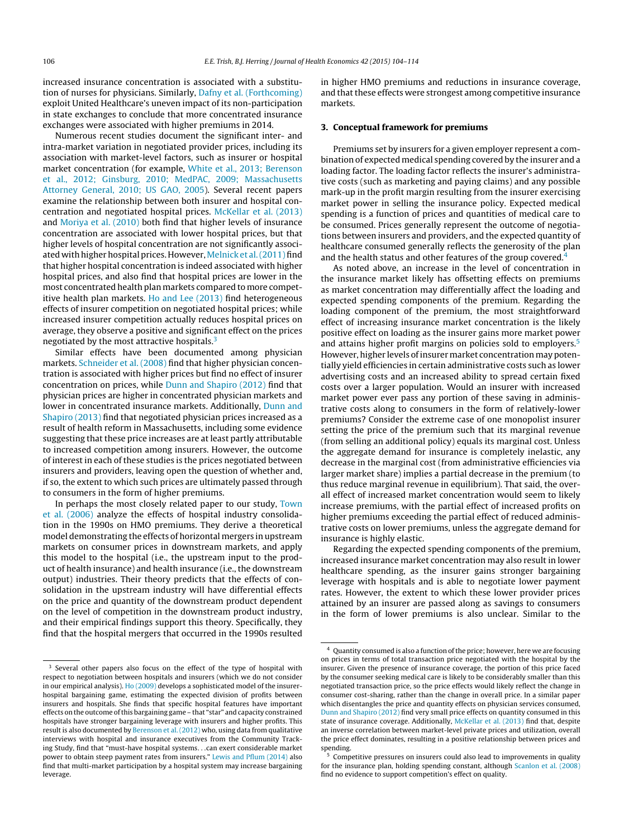<span id="page-2-0"></span>increased insurance concentration is associated with a substitution of nurses for physicians. Similarly, [Dafny](#page-10-0) et [al.](#page-10-0) [\(Forthcoming\)](#page-10-0) exploit United Healthcare's uneven impact of its non-participation in state exchanges to conclude that more concentrated insurance exchanges were associated with higher premiums in 2014.

Numerous recent studies document the significant inter- and intra-market variation in negotiated provider prices, including its association with market-level factors, such as insurer or hospital market concentration (for example, [White](#page-10-0) et [al.,](#page-10-0) [2013;](#page-10-0) [Berenson](#page-10-0) et [al.,](#page-10-0) [2012;](#page-10-0) [Ginsburg,](#page-10-0) [2010;](#page-10-0) [MedPAC,](#page-10-0) [2009;](#page-10-0) [Massachusetts](#page-10-0) [Attorney](#page-10-0) [General,](#page-10-0) [2010;](#page-10-0) [US](#page-10-0) [GAO,](#page-10-0) [2005\).](#page-10-0) Several recent papers examine the relationship between both insurer and hospital concentration and negotiated hospital prices. [McKellar](#page-10-0) et [al.](#page-10-0) [\(2013\)](#page-10-0) and [Moriya](#page-10-0) et [al.](#page-10-0) [\(2010\)](#page-10-0) both find that higher levels of insurance concentration are associated with lower hospital prices, but that higher levels of hospital concentration are not significantly associ-ated with higher hospital prices. However, [Melnick](#page-10-0) et al. (2011) find that higher hospital concentration is indeed associated with higher hospital prices, and also find that hospital prices are lower in the most concentrated health plan markets compared to more competitive health plan markets. [Ho](#page-10-0) [and](#page-10-0) [Lee](#page-10-0) [\(2013\)](#page-10-0) find heterogeneous effects of insurer competition on negotiated hospital prices; while increased insurer competition actually reduces hospital prices on average, they observe a positive and significant effect on the prices negotiated by the most attractive hospitals.<sup>3</sup>

Similar effects have been documented among physician markets. [Schneider](#page-10-0) et [al.](#page-10-0) [\(2008\)](#page-10-0) find that higher physician concentration is associated with higher prices but find no effect of insurer concentration on prices, while [Dunn](#page-10-0) [and](#page-10-0) [Shapiro](#page-10-0) [\(2012\)](#page-10-0) find that physician prices are higher in concentrated physician markets and lower in concentrated insurance markets. Additionally, [Dunn](#page-10-0) [and](#page-10-0) [Shapiro](#page-10-0) [\(2013\)](#page-10-0) find that negotiated physician prices increased as a result of health reform in Massachusetts, including some evidence suggesting that these price increases are at least partly attributable to increased competition among insurers. However, the outcome of interest in each of these studies is the prices negotiated between insurers and providers, leaving open the question of whether and, if so, the extent to which such prices are ultimately passed through to consumers in the form of higher premiums.

In perhaps the most closely related paper to our study, [Town](#page-10-0) et [al.](#page-10-0) [\(2006\)](#page-10-0) analyze the effects of hospital industry consolidation in the 1990s on HMO premiums. They derive a theoretical model demonstrating the effects of horizontal mergers in upstream markets on consumer prices in downstream markets, and apply this model to the hospital (i.e., the upstream input to the product of health insurance) and health insurance (i.e., the downstream output) industries. Their theory predicts that the effects of consolidation in the upstream industry will have differential effects on the price and quantity of the downstream product dependent on the level of competition in the downstream product industry, and their empirical findings support this theory. Specifically, they find that the hospital mergers that occurred in the 1990s resulted in higher HMO premiums and reductions in insurance coverage, and that these effects were strongest among competitive insurance markets.

#### **3. Conceptual framework for premiums**

Premiums set by insurers for a given employer represent a combination of expected medical spending covered by the insurer and a loading factor. The loading factor reflects the insurer's administrative costs (such as marketing and paying claims) and any possible mark-up in the profit margin resulting from the insurer exercising market power in selling the insurance policy. Expected medical spending is a function of prices and quantities of medical care to be consumed. Prices generally represent the outcome of negotiations between insurers and providers, and the expected quantity of healthcare consumed generally reflects the generosity of the plan and the health status and other features of the group covered.<sup>4</sup>

As noted above, an increase in the level of concentration in the insurance market likely has offsetting effects on premiums as market concentration may differentially affect the loading and expected spending components of the premium. Regarding the loading component of the premium, the most straightforward effect of increasing insurance market concentration is the likely positive effect on loading as the insurer gains more market power and attains higher profit margins on policies sold to employers.<sup>5</sup> However, higher levels of insurer market concentration may potentially yield efficiencies in certain administrative costs such as lower advertising costs and an increased ability to spread certain fixed costs over a larger population. Would an insurer with increased market power ever pass any portion of these saving in administrative costs along to consumers in the form of relatively-lower premiums? Consider the extreme case of one monopolist insurer setting the price of the premium such that its marginal revenue (from selling an additional policy) equals its marginal cost. Unless the aggregate demand for insurance is completely inelastic, any decrease in the marginal cost (from administrative efficiencies via larger market share) implies a partial decrease in the premium (to thus reduce marginal revenue in equilibrium). That said, the overall effect of increased market concentration would seem to likely increase premiums, with the partial effect of increased profits on higher premiums exceeding the partial effect of reduced administrative costs on lower premiums, unless the aggregate demand for insurance is highly elastic.

Regarding the expected spending components of the premium, increased insurance market concentration may also result in lower healthcare spending, as the insurer gains stronger bargaining leverage with hospitals and is able to negotiate lower payment rates. However, the extent to which these lower provider prices attained by an insurer are passed along as savings to consumers in the form of lower premiums is also unclear. Similar to the

<sup>&</sup>lt;sup>3</sup> Several other papers also focus on the effect of the type of hospital with respect to negotiation between hospitals and insurers (which we do not consider in our empirical analysis). [Ho](#page-10-0) [\(2009\)](#page-10-0) develops a sophisticated model of the insurerhospital bargaining game, estimating the expected division of profits between insurers and hospitals. She finds that specific hospital features have important effects on the outcome ofthis bargaining game – that "star" and capacity constrained hospitals have stronger bargaining leverage with insurers and higher profits. This result is also documented by [Berenson](#page-10-0) et [al.](#page-10-0) [\(2012\)](#page-10-0) who, using data from qualitative interviews with hospital and insurance executives from the Community Tracking Study, find that "must-have hospital systems. . .can exert considerable market power to obtain steep payment rates from insurers." [Lewis](#page-10-0) [and](#page-10-0) [Pflum](#page-10-0) [\(2014\)](#page-10-0) also find that multi-market participation by a hospital system may increase bargaining leverage.

<sup>4</sup> Quantity consumed is also a function ofthe price; however, here we are focusing on prices in terms of total transaction price negotiated with the hospital by the insurer. Given the presence of insurance coverage, the portion of this price faced by the consumer seeking medical care is likely to be considerably smaller than this negotiated transaction price, so the price effects would likely reflect the change in consumer cost-sharing, rather than the change in overall price. In a similar paper which disentangles the price and quantity effects on physician services consumed, [Dunn](#page-10-0) [and](#page-10-0) [Shapiro](#page-10-0) [\(2012\)](#page-10-0) find very small price effects on quantity consumed in this state of insurance coverage. Additionally, [McKellar](#page-10-0) et [al.](#page-10-0) [\(2013\)](#page-10-0) find that, despite an inverse correlation between market-level private prices and utilization, overall the price effect dominates, resulting in a positive relationship between prices and spending.

 $5$  Competitive pressures on insurers could also lead to improvements in quality for the insurance plan, holding spending constant, although [Scanlon](#page-10-0) et [al.](#page-10-0) [\(2008\)](#page-10-0) find no evidence to support competition's effect on quality.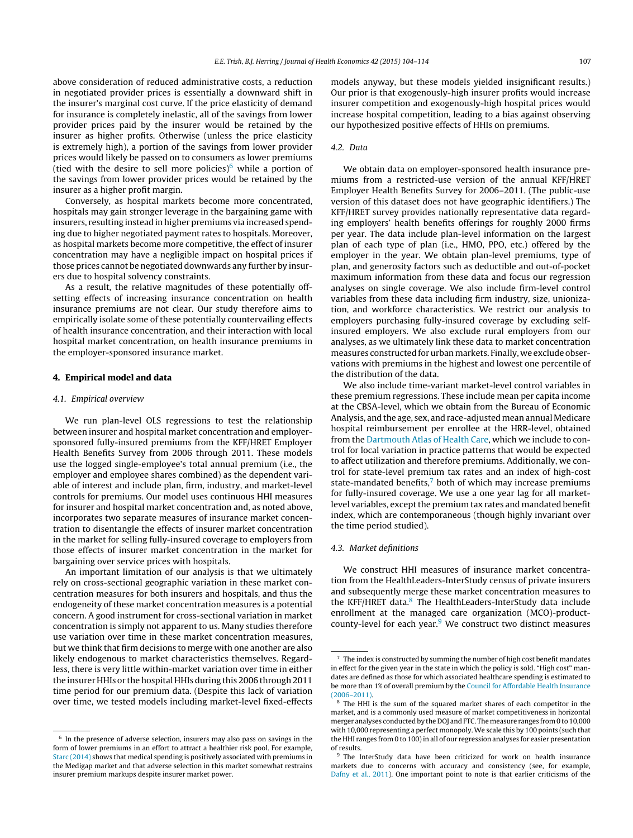above consideration of reduced administrative costs, a reduction in negotiated provider prices is essentially a downward shift in the insurer's marginal cost curve. If the price elasticity of demand for insurance is completely inelastic, all of the savings from lower provider prices paid by the insurer would be retained by the insurer as higher profits. Otherwise (unless the price elasticity is extremely high), a portion of the savings from lower provider prices would likely be passed on to consumers as lower premiums (tied with the desire to sell more policies) $6$  while a portion of the savings from lower provider prices would be retained by the insurer as a higher profit margin.

Conversely, as hospital markets become more concentrated, hospitals may gain stronger leverage in the bargaining game with insurers, resulting instead in higher premiums via increased spending due to higher negotiated payment rates to hospitals. Moreover, as hospital markets become more competitive, the effect of insurer concentration may have a negligible impact on hospital prices if those prices cannot be negotiated downwards any further by insurers due to hospital solvency constraints.

As a result, the relative magnitudes of these potentially offsetting effects of increasing insurance concentration on health insurance premiums are not clear. Our study therefore aims to empirically isolate some of these potentially countervailing effects of health insurance concentration, and their interaction with local hospital market concentration, on health insurance premiums in the employer-sponsored insurance market.

## **4. Empirical model and data**

## 4.1. Empirical overview

We run plan-level OLS regressions to test the relationship between insurer and hospital market concentration and employersponsored fully-insured premiums from the KFF/HRET Employer Health Benefits Survey from 2006 through 2011. These models use the logged single-employee's total annual premium (i.e., the employer and employee shares combined) as the dependent variable of interest and include plan, firm, industry, and market-level controls for premiums. Our model uses continuous HHI measures for insurer and hospital market concentration and, as noted above, incorporates two separate measures of insurance market concentration to disentangle the effects of insurer market concentration in the market for selling fully-insured coverage to employers from those effects of insurer market concentration in the market for bargaining over service prices with hospitals.

An important limitation of our analysis is that we ultimately rely on cross-sectional geographic variation in these market concentration measures for both insurers and hospitals, and thus the endogeneity of these market concentration measures is a potential concern. A good instrument for cross-sectional variation in market concentration is simply not apparent to us. Many studies therefore use variation over time in these market concentration measures, but we think that firm decisions to merge with one another are also likely endogenous to market characteristics themselves. Regardless, there is very little within-market variation over time in either the insurer HHIs or the hospital HHIs during this 2006 through 2011 time period for our premium data. (Despite this lack of variation over time, we tested models including market-level fixed-effects

 $6$  In the presence of adverse selection, insurers may also pass on savings in the form of lower premiums in an effort to attract a healthier risk pool. For example, [Starc](#page-10-0) [\(2014\)](#page-10-0) shows that medical spending is positively associated with premiums in the Medigap market and that adverse selection in this market somewhat restrains insurer premium markups despite insurer market power.

models anyway, but these models yielded insignificant results.) Our prior is that exogenously-high insurer profits would increase insurer competition and exogenously-high hospital prices would increase hospital competition, leading to a bias against observing our hypothesized positive effects of HHIs on premiums.

# 4.2. Data

We obtain data on employer-sponsored health insurance premiums from a restricted-use version of the annual KFF/HRET Employer Health Benefits Survey for 2006–2011. (The public-use version of this dataset does not have geographic identifiers.) The KFF/HRET survey provides nationally representative data regarding employers' health benefits offerings for roughly 2000 firms per year. The data include plan-level information on the largest plan of each type of plan (i.e., HMO, PPO, etc.) offered by the employer in the year. We obtain plan-level premiums, type of plan, and generosity factors such as deductible and out-of-pocket maximum information from these data and focus our regression analyses on single coverage. We also include firm-level control variables from these data including firm industry, size, unionization, and workforce characteristics. We restrict our analysis to employers purchasing fully-insured coverage by excluding selfinsured employers. We also exclude rural employers from our analyses, as we ultimately link these data to market concentration measures constructed for urbanmarkets. Finally, we exclude observations with premiums in the highest and lowest one percentile of the distribution of the data.

We also include time-variant market-level control variables in these premium regressions. These include mean per capita income at the CBSA-level, which we obtain from the Bureau of Economic Analysis, and the age, sex, and race-adjusted mean annual Medicare hospital reimbursement per enrollee at the HRR-level, obtained from the [Dartmouth](#page-10-0) [Atlas](#page-10-0) [of](#page-10-0) [Health](#page-10-0) [Care,](#page-10-0) which we include to control for local variation in practice patterns that would be expected to affect utilization and therefore premiums. Additionally, we control for state-level premium tax rates and an index of high-cost state-mandated benefits, $<sup>7</sup>$  both of which may increase premiums</sup> for fully-insured coverage. We use a one year lag for all marketlevel variables, except the premium tax rates and mandated benefit index, which are contemporaneous (though highly invariant over the time period studied).

# 4.3. Market definitions

We construct HHI measures of insurance market concentration from the HealthLeaders-InterStudy census of private insurers and subsequently merge these market concentration measures to the KFF/HRET data.<sup>8</sup> The HealthLeaders-InterStudy data include enrollment at the managed care organization (MCO)-productcounty-level for each year. $9$  We construct two distinct measures

 $7$  The index is constructed by summing the number of high cost benefit mandates in effect for the given year in the state in which the policy is sold. "High cost" mandates are defined as those for which associated healthcare spending is estimated to be more than 1% of overall premium by the [Council](#page-10-0) [for](#page-10-0) [Affordable](#page-10-0) [Health](#page-10-0) [Insurance](#page-10-0)  $(2006 - 2011)$ 

<sup>&</sup>lt;sup>8</sup> The HHI is the sum of the squared market shares of each competitor in the market, and is a commonly used measure of market competitiveness in horizontal merger analyses conducted by the DOJ and FTC. The measure ranges from 0 to 10,000 with 10,000 representing a perfect monopoly. We scale this by 100 points (such that the HHI ranges from 0 to 100)in all of our regression analyses for easier presentation of results.

<sup>&</sup>lt;sup>9</sup> The InterStudy data have been criticized for work on health insurance markets due to concerns with accuracy and consistency (see, for example, [Dafny](#page-10-0) et [al.,](#page-10-0) [2011\).](#page-10-0) One important point to note is that earlier criticisms of the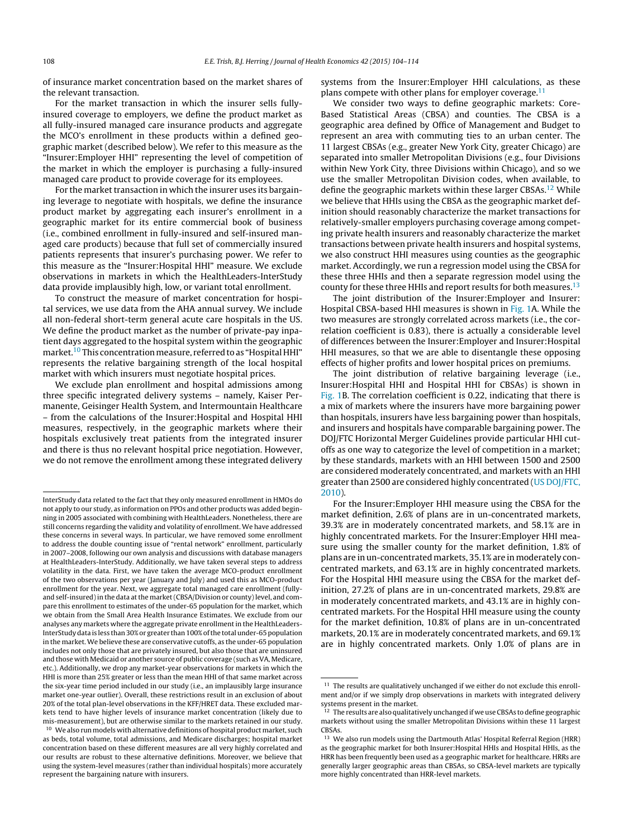of insurance market concentration based on the market shares of the relevant transaction.

For the market transaction in which the insurer sells fullyinsured coverage to employers, we define the product market as all fully-insured managed care insurance products and aggregate the MCO's enrollment in these products within a defined geographic market (described below). We refer to this measure as the "Insurer:Employer HHI" representing the level of competition of the market in which the employer is purchasing a fully-insured managed care product to provide coverage for its employees.

For the market transaction in which the insurer uses its bargaining leverage to negotiate with hospitals, we define the insurance product market by aggregating each insurer's enrollment in a geographic market for its entire commercial book of business (i.e., combined enrollment in fully-insured and self-insured managed care products) because that full set of commercially insured patients represents that insurer's purchasing power. We refer to this measure as the "Insurer:Hospital HHI" measure. We exclude observations in markets in which the HealthLeaders-InterStudy data provide implausibly high, low, or variant total enrollment.

To construct the measure of market concentration for hospital services, we use data from the AHA annual survey. We include all non-federal short-term general acute care hospitals in the US. We define the product market as the number of private-pay inpatient days aggregated to the hospital system within the geographic market.<sup>10</sup> This concentration measure, referred to as "Hospital HHI" represents the relative bargaining strength of the local hospital market with which insurers must negotiate hospital prices.

We exclude plan enrollment and hospital admissions among three specific integrated delivery systems – namely, Kaiser Permanente, Geisinger Health System, and Intermountain Healthcare – from the calculations of the Insurer:Hospital and Hospital HHI measures, respectively, in the geographic markets where their hospitals exclusively treat patients from the integrated insurer and there is thus no relevant hospital price negotiation. However, we do not remove the enrollment among these integrated delivery

concentration based on these different measures are all very highly correlated and our results are robust to these alternative definitions. Moreover, we believe that using the system-level measures (rather than individual hospitals) more accurately represent the bargaining nature with insurers.

systems from the Insurer:Employer HHI calculations, as these plans compete with other plans for employer coverage.<sup>11</sup>

We consider two ways to define geographic markets: Core-Based Statistical Areas (CBSA) and counties. The CBSA is a geographic area defined by Office of Management and Budget to represent an area with commuting ties to an urban center. The 11 largest CBSAs (e.g., greater New York City, greater Chicago) are separated into smaller Metropolitan Divisions (e.g., four Divisions within New York City, three Divisions within Chicago), and so we use the smaller Metropolitan Division codes, when available, to define the geographic markets within these larger CBSAs.<sup>12</sup> While we believe that HHIs using the CBSA as the geographic market definition should reasonably characterize the market transactions for relatively-smaller employers purchasing coverage among competing private health insurers and reasonably characterize the market transactions between private health insurers and hospital systems, we also construct HHI measures using counties as the geographic market. Accordingly, we run a regression model using the CBSA for these three HHIs and then a separate regression model using the county for these three HHIs and report results for both measures.<sup>13</sup>

The joint distribution of the Insurer:Employer and Insurer: Hospital CBSA-based HHI measures is shown in [Fig.](#page-5-0) 1A. While the two measures are strongly correlated across markets (i.e., the correlation coefficient is 0.83), there is actually a considerable level of differences between the Insurer:Employer and Insurer:Hospital HHI measures, so that we are able to disentangle these opposing effects of higher profits and lower hospital prices on premiums.

The joint distribution of relative bargaining leverage (i.e., Insurer:Hospital HHI and Hospital HHI for CBSAs) is shown in [Fig.](#page-5-0) 1B. The correlation coefficient is 0.22, indicating that there is a mix of markets where the insurers have more bargaining power than hospitals, insurers have less bargaining power than hospitals, and insurers and hospitals have comparable bargaining power. The DOJ/FTC Horizontal Merger Guidelines provide particular HHI cutoffs as one way to categorize the level of competition in a market; by these standards, markets with an HHI between 1500 and 2500 are considered moderately concentrated, and markets with an HHI greater than 2500 are considered highly concentrated ([US](#page-10-0) [DOJ/FTC,](#page-10-0) [2010\).](#page-10-0)

For the Insurer:Employer HHI measure using the CBSA for the market definition, 2.6% of plans are in un-concentrated markets, 39.3% are in moderately concentrated markets, and 58.1% are in highly concentrated markets. For the Insurer:Employer HHI measure using the smaller county for the market definition, 1.8% of plans are in un-concentrated markets, 35.1% are in moderately concentrated markets, and 63.1% are in highly concentrated markets. For the Hospital HHI measure using the CBSA for the market definition, 27.2% of plans are in un-concentrated markets, 29.8% are in moderately concentrated markets, and 43.1% are in highly concentrated markets. For the Hospital HHI measure using the county for the market definition, 10.8% of plans are in un-concentrated markets, 20.1% are in moderately concentrated markets, and 69.1% are in highly concentrated markets. Only 1.0% of plans are in

InterStudy data related to the fact that they only measured enrollment in HMOs do not apply to our study, as information on PPOs and other products was added beginning in 2005 associated with combining with HealthLeaders. Nonetheless, there are still concerns regarding the validity and volatility of enrollment. We have addressed these concerns in several ways. In particular, we have removed some enrollment to address the double counting issue of "rental network" enrollment, particularly in 2007–2008, following our own analysis and discussions with database managers at HealthLeaders-InterStudy. Additionally, we have taken several steps to address volatility in the data. First, we have taken the average MCO-product enrollment of the two observations per year (January and July) and used this as MCO-product enrollment for the year. Next, we aggregate total managed care enrollment (fullyand self-insured)in the data atthe market(CBSA/Division or county)level, and compare this enrollment to estimates of the under-65 population for the market, which we obtain from the Small Area Health Insurance Estimates. We exclude from our analyses any markets where the aggregate private enrollment in the HealthLeaders-InterStudydata is less than30%or greater than100%ofthe totalunder-65population in the market. We believe these are conservative cutoffs, as the under-65 population includes not only those that are privately insured, but also those that are uninsured and those with Medicaid or another source of public coverage (such as VA, Medicare, etc.). Additionally, we drop any market-year observations for markets in which the HHI is more than 25% greater or less than the mean HHI of that same market across the six-year time period included in our study (i.e., an implausibly large insurance market one-year outlier). Overall, these restrictions result in an exclusion of about 20% of the total plan-level observations in the KFF/HRET data. These excluded markets tend to have higher levels of insurance market concentration (likely due to mis-measurement), but are otherwise similar to the markets retained in our study.  $^{10}\,$  We also run models with alternative definitions of hospital product market, such as beds, total volume, total admissions, and Medicare discharges; hospital market

 $11$  The results are qualitatively unchanged if we either do not exclude this enrollment and/or if we simply drop observations in markets with integrated delivery systems present in the market.

<sup>&</sup>lt;sup>12</sup> The results are also qualitatively unchanged if we use CBSAs to define geographic markets without using the smaller Metropolitan Divisions within these 11 largest CBSAs.

<sup>&</sup>lt;sup>13</sup> We also run models using the Dartmouth Atlas' Hospital Referral Region (HRR) as the geographic market for both Insurer:Hospital HHIs and Hospital HHIs, as the HRR has been frequently been used as a geographic market for healthcare. HRRs are generally larger geographic areas than CBSAs, so CBSA-level markets are typically more highly concentrated than HRR-level markets.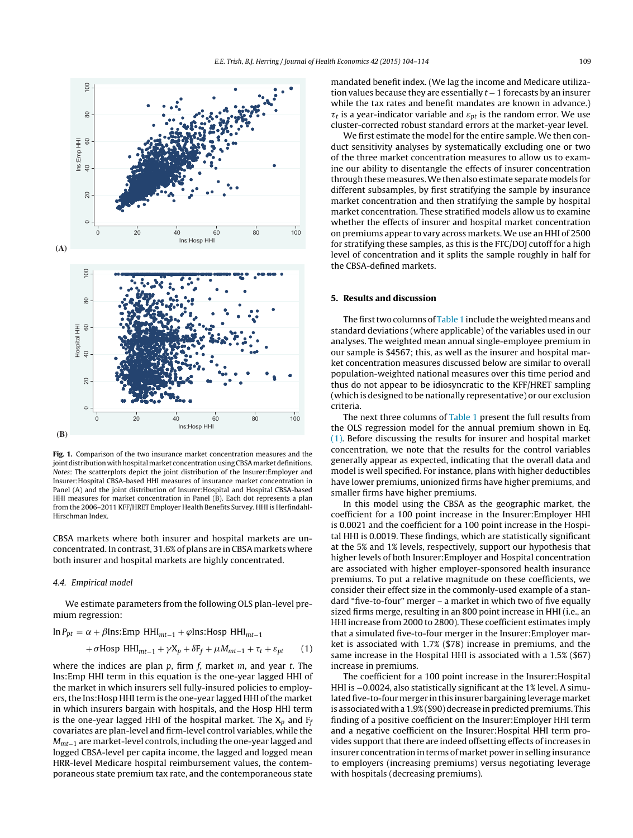<span id="page-5-0"></span>

**Fig. 1.** Comparison of the two insurance market concentration measures and the joint distribution with hospital market concentration using CBSA market definitions. Notes: The scatterplots depict the joint distribution of the Insurer:Employer and Insurer:Hospital CBSA-based HHI measures of insurance market concentration in Panel (A) and the joint distribution of Insurer:Hospital and Hospital CBSA-based HHI measures for market concentration in Panel (B). Each dot represents a plan from the 2006–2011 KFF/HRET Employer Health Benefits Survey. HHI is Herfindahl-Hirschman Index.

CBSA markets where both insurer and hospital markets are unconcentrated. In contrast, 31.6% of plans are in CBSA markets where both insurer and hospital markets are highly concentrated.

#### 4.4. Empirical model

We estimate parameters from the following OLS plan-level premium regression:

$$
\ln P_{pt} = \alpha + \beta \text{Ins: Emp HHI}_{mt-1} + \varphi \text{Ins: Hosp HHI}_{mt-1} + \sigma \text{Hosp HHI}_{mt-1} + \gamma X_p + \delta F_f + \mu M_{mt-1} + \tau_t + \varepsilon_{pt}
$$
 (1)

where the indices are plan  $p$ , firm  $f$ , market  $m$ , and year  $t$ . The Ins:Emp HHI term in this equation is the one-year lagged HHI of the market in which insurers sell fully-insured policies to employers, the Ins:Hosp HHI term is the one-year lagged HHI of the market in which insurers bargain with hospitals, and the Hosp HHI term is the one-year lagged HHI of the hospital market. The  $X_p$  and  $F_f$ covariates are plan-level and firm-level control variables, while the  $M_{mt-1}$  are market-level controls, including the one-year lagged and logged CBSA-level per capita income, the lagged and logged mean HRR-level Medicare hospital reimbursement values, the contemporaneous state premium tax rate, and the contemporaneous state mandated benefit index. (We lag the income and Medicare utilization values because they are essentially  $t - 1$  forecasts by an insurer while the tax rates and benefit mandates are known in advance.)  $\tau_t$  is a year-indicator variable and  $\varepsilon_{nt}$  is the random error. We use cluster-corrected robust standard errors at the market-year level.

We first estimate the model for the entire sample. We then conduct sensitivity analyses by systematically excluding one or two of the three market concentration measures to allow us to examine our ability to disentangle the effects of insurer concentration through thesemeasures.We then also estimate separatemodels for different subsamples, by first stratifying the sample by insurance market concentration and then stratifying the sample by hospital market concentration. These stratified models allow us to examine whether the effects of insurer and hospital market concentration on premiums appear to vary across markets. We use an HHI of 2500 for stratifying these samples, as this is the FTC/DOJ cutoff for a high level of concentration and it splits the sample roughly in half for the CBSA-defined markets.

# **5. Results and discussion**

The first two columns of [Table](#page-6-0) 1 include the weighted means and standard deviations (where applicable) of the variables used in our analyses. The weighted mean annual single-employee premium in our sample is \$4567; this, as well as the insurer and hospital market concentration measures discussed below are similar to overall population-weighted national measures over this time period and thus do not appear to be idiosyncratic to the KFF/HRET sampling (which is designed to be nationally representative) or our exclusion criteria.

The next three columns of [Table](#page-6-0) 1 present the full results from the OLS regression model for the annual premium shown in Eq. (1). Before discussing the results for insurer and hospital market concentration, we note that the results for the control variables generally appear as expected, indicating that the overall data and model is well specified. For instance, plans with higher deductibles have lower premiums, unionized firms have higher premiums, and smaller firms have higher premiums.

In this model using the CBSA as the geographic market, the coefficient for a 100 point increase in the Insurer:Employer HHI is 0.0021 and the coefficient for a 100 point increase in the Hospital HHI is 0.0019. These findings, which are statistically significant at the 5% and 1% levels, respectively, support our hypothesis that higher levels of both Insurer:Employer and Hospital concentration are associated with higher employer-sponsored health insurance premiums. To put a relative magnitude on these coefficients, we consider their effect size in the commonly-used example of a standard "five-to-four" merger – a market in which two of five equally sized firms merge, resulting in an 800 point increase in HHI (i.e., an HHI increase from 2000 to 2800). These coefficient estimates imply that a simulated five-to-four merger in the Insurer:Employer market is associated with 1.7% (\$78) increase in premiums, and the same increase in the Hospital HHI is associated with a 1.5% (\$67) increase in premiums.

The coefficient for a 100 point increase in the Insurer:Hospital HHI is −0.0024, also statistically significant at the 1% level. A simulated five-to-four merger in this insurer bargaining leverage market is associated with a 1.9% (\$90) decrease in predicted premiums. This finding of a positive coefficient on the Insurer:Employer HHI term and a negative coefficient on the Insurer:Hospital HHI term provides support that there are indeed offsetting effects of increases in insurer concentration in terms of market power in selling insurance to employers (increasing premiums) versus negotiating leverage with hospitals (decreasing premiums).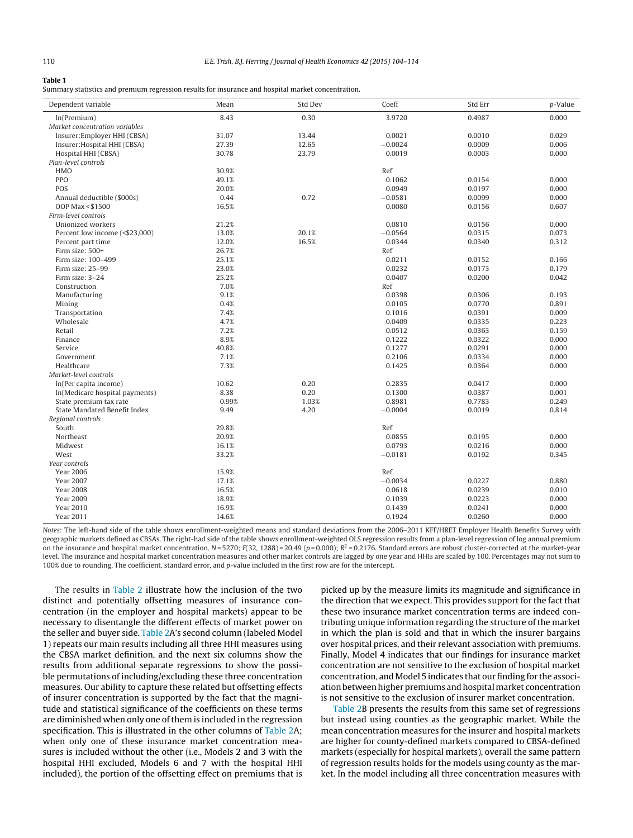#### <span id="page-6-0"></span>**Table 1**

Summary statistics and premium regression results for insurance and hospital market concentration.

| 8.43<br>0.30<br>3.9720<br>0.4987<br>0.000<br>ln(Premium)<br>Market concentration variables<br>Insurer: Employer HHI (CBSA)<br>31.07<br>13.44<br>0.0021<br>0.0010<br>0.029<br>27.39<br>12.65<br>$-0.0024$<br>0.0009<br>0.006<br>Insurer: Hospital HHI (CBSA)<br>30.78<br>23.79<br>0.0019<br>0.0003<br>0.000<br>Hospital HHI (CBSA)<br>Plan-level controls<br><b>HMO</b><br>30.9%<br>Ref<br>PPO<br>49.1%<br>0.1062<br>0.0154<br>0.000<br>POS<br>20.0%<br>0.0949<br>0.0197<br>0.000<br>0.72<br>0.0099<br>0.000<br>Annual deductible (\$000s)<br>0.44<br>$-0.0581$<br>OOP Max < \$1500<br>0.0080<br>0.607<br>16.5%<br>0.0156<br>Firm-level controls<br>Unionized workers<br>21.2%<br>0.0810<br>0.0156<br>0.000<br>13.0%<br>20.1%<br>$-0.0564$<br>0.0315<br>0.073<br>Percent low income (<\$23,000)<br>12.0%<br>16.5%<br>0.0344<br>0.0340<br>0.312<br>Percent part time<br>26.7%<br>Firm size: 500+<br>Ref<br>0.0211<br>0.0152<br>Firm size: 100-499<br>25.1%<br>0.166<br>23.0%<br>Firm size: 25-99<br>0.0232<br>0.0173<br>0.179<br>25.2%<br>0.0407<br>Firm size: 3-24<br>0.0200<br>0.042<br>7.0%<br>Ref<br>Construction<br>9.1%<br>0.0398<br>0.0306<br>0.193<br>Manufacturing<br>0.891<br>0.4%<br>0.0105<br>0.0770<br>Mining<br>0.009<br>Transportation<br>7.4%<br>0.1016<br>0.0391<br>Wholesale<br>4.7%<br>0.223<br>0.0409<br>0.0335<br>Retail<br>7.2%<br>0.0512<br>0.159<br>0.0363<br>8.9%<br>0.1222<br>0.0322<br>0.000<br>Finance<br>40.8%<br>0.1277<br>0.0291<br>0.000<br>Service<br>7.1%<br>0.2106<br>0.0334<br>0.000<br>Government<br>Healthcare<br>7.3%<br>0.1425<br>0.0364<br>0.000<br>Market-level controls<br>In(Per capita income)<br>10.62<br>0.20<br>0.2835<br>0.0417<br>0.000<br>8.38<br>0.20<br>0.1300<br>0.0387<br>0.001<br>ln(Medicare hospital payments)<br>0.99%<br>1.03%<br>0.8981<br>0.7783<br>0.249<br>State premium tax rate<br>State Mandated Benefit Index<br>9.49<br>4.20<br>$-0.0004$<br>0.0019<br>0.814<br>Regional controls<br>South<br>29.8%<br>Ref<br>Northeast<br>20.9%<br>0.0855<br>0.0195<br>0.000<br>16.1%<br>0.0793<br>0.0216<br>0.000<br>Midwest<br>33.2%<br>West<br>$-0.0181$<br>0.0192<br>0.345<br>Year controls<br>15.9%<br>Ref<br><b>Year 2006</b><br>$-0.0034$<br>0.0227<br><b>Year 2007</b><br>17.1%<br>0.880<br><b>Year 2008</b><br>16.5%<br>0.0618<br>0.0239<br>0.010<br><b>Year 2009</b><br>18.9%<br>0.1039<br>0.0223<br>0.000<br>16.9%<br>0.000<br><b>Year 2010</b><br>0.1439<br>0.0241 | Dependent variable | Mean  | Std Dev | Coeff  | Std Err | p-Value |
|------------------------------------------------------------------------------------------------------------------------------------------------------------------------------------------------------------------------------------------------------------------------------------------------------------------------------------------------------------------------------------------------------------------------------------------------------------------------------------------------------------------------------------------------------------------------------------------------------------------------------------------------------------------------------------------------------------------------------------------------------------------------------------------------------------------------------------------------------------------------------------------------------------------------------------------------------------------------------------------------------------------------------------------------------------------------------------------------------------------------------------------------------------------------------------------------------------------------------------------------------------------------------------------------------------------------------------------------------------------------------------------------------------------------------------------------------------------------------------------------------------------------------------------------------------------------------------------------------------------------------------------------------------------------------------------------------------------------------------------------------------------------------------------------------------------------------------------------------------------------------------------------------------------------------------------------------------------------------------------------------------------------------------------------------------------------------------------------------------------------------------------------------------------------------------------------------------------------------------------------------------------------------------------------------------------------------------------------------------------------------------------------------------------------------------|--------------------|-------|---------|--------|---------|---------|
|                                                                                                                                                                                                                                                                                                                                                                                                                                                                                                                                                                                                                                                                                                                                                                                                                                                                                                                                                                                                                                                                                                                                                                                                                                                                                                                                                                                                                                                                                                                                                                                                                                                                                                                                                                                                                                                                                                                                                                                                                                                                                                                                                                                                                                                                                                                                                                                                                                    |                    |       |         |        |         |         |
|                                                                                                                                                                                                                                                                                                                                                                                                                                                                                                                                                                                                                                                                                                                                                                                                                                                                                                                                                                                                                                                                                                                                                                                                                                                                                                                                                                                                                                                                                                                                                                                                                                                                                                                                                                                                                                                                                                                                                                                                                                                                                                                                                                                                                                                                                                                                                                                                                                    |                    |       |         |        |         |         |
|                                                                                                                                                                                                                                                                                                                                                                                                                                                                                                                                                                                                                                                                                                                                                                                                                                                                                                                                                                                                                                                                                                                                                                                                                                                                                                                                                                                                                                                                                                                                                                                                                                                                                                                                                                                                                                                                                                                                                                                                                                                                                                                                                                                                                                                                                                                                                                                                                                    |                    |       |         |        |         |         |
|                                                                                                                                                                                                                                                                                                                                                                                                                                                                                                                                                                                                                                                                                                                                                                                                                                                                                                                                                                                                                                                                                                                                                                                                                                                                                                                                                                                                                                                                                                                                                                                                                                                                                                                                                                                                                                                                                                                                                                                                                                                                                                                                                                                                                                                                                                                                                                                                                                    |                    |       |         |        |         |         |
|                                                                                                                                                                                                                                                                                                                                                                                                                                                                                                                                                                                                                                                                                                                                                                                                                                                                                                                                                                                                                                                                                                                                                                                                                                                                                                                                                                                                                                                                                                                                                                                                                                                                                                                                                                                                                                                                                                                                                                                                                                                                                                                                                                                                                                                                                                                                                                                                                                    |                    |       |         |        |         |         |
|                                                                                                                                                                                                                                                                                                                                                                                                                                                                                                                                                                                                                                                                                                                                                                                                                                                                                                                                                                                                                                                                                                                                                                                                                                                                                                                                                                                                                                                                                                                                                                                                                                                                                                                                                                                                                                                                                                                                                                                                                                                                                                                                                                                                                                                                                                                                                                                                                                    |                    |       |         |        |         |         |
|                                                                                                                                                                                                                                                                                                                                                                                                                                                                                                                                                                                                                                                                                                                                                                                                                                                                                                                                                                                                                                                                                                                                                                                                                                                                                                                                                                                                                                                                                                                                                                                                                                                                                                                                                                                                                                                                                                                                                                                                                                                                                                                                                                                                                                                                                                                                                                                                                                    |                    |       |         |        |         |         |
|                                                                                                                                                                                                                                                                                                                                                                                                                                                                                                                                                                                                                                                                                                                                                                                                                                                                                                                                                                                                                                                                                                                                                                                                                                                                                                                                                                                                                                                                                                                                                                                                                                                                                                                                                                                                                                                                                                                                                                                                                                                                                                                                                                                                                                                                                                                                                                                                                                    |                    |       |         |        |         |         |
|                                                                                                                                                                                                                                                                                                                                                                                                                                                                                                                                                                                                                                                                                                                                                                                                                                                                                                                                                                                                                                                                                                                                                                                                                                                                                                                                                                                                                                                                                                                                                                                                                                                                                                                                                                                                                                                                                                                                                                                                                                                                                                                                                                                                                                                                                                                                                                                                                                    |                    |       |         |        |         |         |
|                                                                                                                                                                                                                                                                                                                                                                                                                                                                                                                                                                                                                                                                                                                                                                                                                                                                                                                                                                                                                                                                                                                                                                                                                                                                                                                                                                                                                                                                                                                                                                                                                                                                                                                                                                                                                                                                                                                                                                                                                                                                                                                                                                                                                                                                                                                                                                                                                                    |                    |       |         |        |         |         |
|                                                                                                                                                                                                                                                                                                                                                                                                                                                                                                                                                                                                                                                                                                                                                                                                                                                                                                                                                                                                                                                                                                                                                                                                                                                                                                                                                                                                                                                                                                                                                                                                                                                                                                                                                                                                                                                                                                                                                                                                                                                                                                                                                                                                                                                                                                                                                                                                                                    |                    |       |         |        |         |         |
|                                                                                                                                                                                                                                                                                                                                                                                                                                                                                                                                                                                                                                                                                                                                                                                                                                                                                                                                                                                                                                                                                                                                                                                                                                                                                                                                                                                                                                                                                                                                                                                                                                                                                                                                                                                                                                                                                                                                                                                                                                                                                                                                                                                                                                                                                                                                                                                                                                    |                    |       |         |        |         |         |
|                                                                                                                                                                                                                                                                                                                                                                                                                                                                                                                                                                                                                                                                                                                                                                                                                                                                                                                                                                                                                                                                                                                                                                                                                                                                                                                                                                                                                                                                                                                                                                                                                                                                                                                                                                                                                                                                                                                                                                                                                                                                                                                                                                                                                                                                                                                                                                                                                                    |                    |       |         |        |         |         |
|                                                                                                                                                                                                                                                                                                                                                                                                                                                                                                                                                                                                                                                                                                                                                                                                                                                                                                                                                                                                                                                                                                                                                                                                                                                                                                                                                                                                                                                                                                                                                                                                                                                                                                                                                                                                                                                                                                                                                                                                                                                                                                                                                                                                                                                                                                                                                                                                                                    |                    |       |         |        |         |         |
|                                                                                                                                                                                                                                                                                                                                                                                                                                                                                                                                                                                                                                                                                                                                                                                                                                                                                                                                                                                                                                                                                                                                                                                                                                                                                                                                                                                                                                                                                                                                                                                                                                                                                                                                                                                                                                                                                                                                                                                                                                                                                                                                                                                                                                                                                                                                                                                                                                    |                    |       |         |        |         |         |
|                                                                                                                                                                                                                                                                                                                                                                                                                                                                                                                                                                                                                                                                                                                                                                                                                                                                                                                                                                                                                                                                                                                                                                                                                                                                                                                                                                                                                                                                                                                                                                                                                                                                                                                                                                                                                                                                                                                                                                                                                                                                                                                                                                                                                                                                                                                                                                                                                                    |                    |       |         |        |         |         |
|                                                                                                                                                                                                                                                                                                                                                                                                                                                                                                                                                                                                                                                                                                                                                                                                                                                                                                                                                                                                                                                                                                                                                                                                                                                                                                                                                                                                                                                                                                                                                                                                                                                                                                                                                                                                                                                                                                                                                                                                                                                                                                                                                                                                                                                                                                                                                                                                                                    |                    |       |         |        |         |         |
|                                                                                                                                                                                                                                                                                                                                                                                                                                                                                                                                                                                                                                                                                                                                                                                                                                                                                                                                                                                                                                                                                                                                                                                                                                                                                                                                                                                                                                                                                                                                                                                                                                                                                                                                                                                                                                                                                                                                                                                                                                                                                                                                                                                                                                                                                                                                                                                                                                    |                    |       |         |        |         |         |
|                                                                                                                                                                                                                                                                                                                                                                                                                                                                                                                                                                                                                                                                                                                                                                                                                                                                                                                                                                                                                                                                                                                                                                                                                                                                                                                                                                                                                                                                                                                                                                                                                                                                                                                                                                                                                                                                                                                                                                                                                                                                                                                                                                                                                                                                                                                                                                                                                                    |                    |       |         |        |         |         |
|                                                                                                                                                                                                                                                                                                                                                                                                                                                                                                                                                                                                                                                                                                                                                                                                                                                                                                                                                                                                                                                                                                                                                                                                                                                                                                                                                                                                                                                                                                                                                                                                                                                                                                                                                                                                                                                                                                                                                                                                                                                                                                                                                                                                                                                                                                                                                                                                                                    |                    |       |         |        |         |         |
|                                                                                                                                                                                                                                                                                                                                                                                                                                                                                                                                                                                                                                                                                                                                                                                                                                                                                                                                                                                                                                                                                                                                                                                                                                                                                                                                                                                                                                                                                                                                                                                                                                                                                                                                                                                                                                                                                                                                                                                                                                                                                                                                                                                                                                                                                                                                                                                                                                    |                    |       |         |        |         |         |
|                                                                                                                                                                                                                                                                                                                                                                                                                                                                                                                                                                                                                                                                                                                                                                                                                                                                                                                                                                                                                                                                                                                                                                                                                                                                                                                                                                                                                                                                                                                                                                                                                                                                                                                                                                                                                                                                                                                                                                                                                                                                                                                                                                                                                                                                                                                                                                                                                                    |                    |       |         |        |         |         |
|                                                                                                                                                                                                                                                                                                                                                                                                                                                                                                                                                                                                                                                                                                                                                                                                                                                                                                                                                                                                                                                                                                                                                                                                                                                                                                                                                                                                                                                                                                                                                                                                                                                                                                                                                                                                                                                                                                                                                                                                                                                                                                                                                                                                                                                                                                                                                                                                                                    |                    |       |         |        |         |         |
|                                                                                                                                                                                                                                                                                                                                                                                                                                                                                                                                                                                                                                                                                                                                                                                                                                                                                                                                                                                                                                                                                                                                                                                                                                                                                                                                                                                                                                                                                                                                                                                                                                                                                                                                                                                                                                                                                                                                                                                                                                                                                                                                                                                                                                                                                                                                                                                                                                    |                    |       |         |        |         |         |
|                                                                                                                                                                                                                                                                                                                                                                                                                                                                                                                                                                                                                                                                                                                                                                                                                                                                                                                                                                                                                                                                                                                                                                                                                                                                                                                                                                                                                                                                                                                                                                                                                                                                                                                                                                                                                                                                                                                                                                                                                                                                                                                                                                                                                                                                                                                                                                                                                                    |                    |       |         |        |         |         |
|                                                                                                                                                                                                                                                                                                                                                                                                                                                                                                                                                                                                                                                                                                                                                                                                                                                                                                                                                                                                                                                                                                                                                                                                                                                                                                                                                                                                                                                                                                                                                                                                                                                                                                                                                                                                                                                                                                                                                                                                                                                                                                                                                                                                                                                                                                                                                                                                                                    |                    |       |         |        |         |         |
|                                                                                                                                                                                                                                                                                                                                                                                                                                                                                                                                                                                                                                                                                                                                                                                                                                                                                                                                                                                                                                                                                                                                                                                                                                                                                                                                                                                                                                                                                                                                                                                                                                                                                                                                                                                                                                                                                                                                                                                                                                                                                                                                                                                                                                                                                                                                                                                                                                    |                    |       |         |        |         |         |
|                                                                                                                                                                                                                                                                                                                                                                                                                                                                                                                                                                                                                                                                                                                                                                                                                                                                                                                                                                                                                                                                                                                                                                                                                                                                                                                                                                                                                                                                                                                                                                                                                                                                                                                                                                                                                                                                                                                                                                                                                                                                                                                                                                                                                                                                                                                                                                                                                                    |                    |       |         |        |         |         |
|                                                                                                                                                                                                                                                                                                                                                                                                                                                                                                                                                                                                                                                                                                                                                                                                                                                                                                                                                                                                                                                                                                                                                                                                                                                                                                                                                                                                                                                                                                                                                                                                                                                                                                                                                                                                                                                                                                                                                                                                                                                                                                                                                                                                                                                                                                                                                                                                                                    |                    |       |         |        |         |         |
|                                                                                                                                                                                                                                                                                                                                                                                                                                                                                                                                                                                                                                                                                                                                                                                                                                                                                                                                                                                                                                                                                                                                                                                                                                                                                                                                                                                                                                                                                                                                                                                                                                                                                                                                                                                                                                                                                                                                                                                                                                                                                                                                                                                                                                                                                                                                                                                                                                    |                    |       |         |        |         |         |
|                                                                                                                                                                                                                                                                                                                                                                                                                                                                                                                                                                                                                                                                                                                                                                                                                                                                                                                                                                                                                                                                                                                                                                                                                                                                                                                                                                                                                                                                                                                                                                                                                                                                                                                                                                                                                                                                                                                                                                                                                                                                                                                                                                                                                                                                                                                                                                                                                                    |                    |       |         |        |         |         |
|                                                                                                                                                                                                                                                                                                                                                                                                                                                                                                                                                                                                                                                                                                                                                                                                                                                                                                                                                                                                                                                                                                                                                                                                                                                                                                                                                                                                                                                                                                                                                                                                                                                                                                                                                                                                                                                                                                                                                                                                                                                                                                                                                                                                                                                                                                                                                                                                                                    |                    |       |         |        |         |         |
|                                                                                                                                                                                                                                                                                                                                                                                                                                                                                                                                                                                                                                                                                                                                                                                                                                                                                                                                                                                                                                                                                                                                                                                                                                                                                                                                                                                                                                                                                                                                                                                                                                                                                                                                                                                                                                                                                                                                                                                                                                                                                                                                                                                                                                                                                                                                                                                                                                    |                    |       |         |        |         |         |
|                                                                                                                                                                                                                                                                                                                                                                                                                                                                                                                                                                                                                                                                                                                                                                                                                                                                                                                                                                                                                                                                                                                                                                                                                                                                                                                                                                                                                                                                                                                                                                                                                                                                                                                                                                                                                                                                                                                                                                                                                                                                                                                                                                                                                                                                                                                                                                                                                                    |                    |       |         |        |         |         |
|                                                                                                                                                                                                                                                                                                                                                                                                                                                                                                                                                                                                                                                                                                                                                                                                                                                                                                                                                                                                                                                                                                                                                                                                                                                                                                                                                                                                                                                                                                                                                                                                                                                                                                                                                                                                                                                                                                                                                                                                                                                                                                                                                                                                                                                                                                                                                                                                                                    |                    |       |         |        |         |         |
|                                                                                                                                                                                                                                                                                                                                                                                                                                                                                                                                                                                                                                                                                                                                                                                                                                                                                                                                                                                                                                                                                                                                                                                                                                                                                                                                                                                                                                                                                                                                                                                                                                                                                                                                                                                                                                                                                                                                                                                                                                                                                                                                                                                                                                                                                                                                                                                                                                    |                    |       |         |        |         |         |
|                                                                                                                                                                                                                                                                                                                                                                                                                                                                                                                                                                                                                                                                                                                                                                                                                                                                                                                                                                                                                                                                                                                                                                                                                                                                                                                                                                                                                                                                                                                                                                                                                                                                                                                                                                                                                                                                                                                                                                                                                                                                                                                                                                                                                                                                                                                                                                                                                                    |                    |       |         |        |         |         |
|                                                                                                                                                                                                                                                                                                                                                                                                                                                                                                                                                                                                                                                                                                                                                                                                                                                                                                                                                                                                                                                                                                                                                                                                                                                                                                                                                                                                                                                                                                                                                                                                                                                                                                                                                                                                                                                                                                                                                                                                                                                                                                                                                                                                                                                                                                                                                                                                                                    |                    |       |         |        |         |         |
|                                                                                                                                                                                                                                                                                                                                                                                                                                                                                                                                                                                                                                                                                                                                                                                                                                                                                                                                                                                                                                                                                                                                                                                                                                                                                                                                                                                                                                                                                                                                                                                                                                                                                                                                                                                                                                                                                                                                                                                                                                                                                                                                                                                                                                                                                                                                                                                                                                    |                    |       |         |        |         |         |
|                                                                                                                                                                                                                                                                                                                                                                                                                                                                                                                                                                                                                                                                                                                                                                                                                                                                                                                                                                                                                                                                                                                                                                                                                                                                                                                                                                                                                                                                                                                                                                                                                                                                                                                                                                                                                                                                                                                                                                                                                                                                                                                                                                                                                                                                                                                                                                                                                                    |                    |       |         |        |         |         |
|                                                                                                                                                                                                                                                                                                                                                                                                                                                                                                                                                                                                                                                                                                                                                                                                                                                                                                                                                                                                                                                                                                                                                                                                                                                                                                                                                                                                                                                                                                                                                                                                                                                                                                                                                                                                                                                                                                                                                                                                                                                                                                                                                                                                                                                                                                                                                                                                                                    |                    |       |         |        |         |         |
|                                                                                                                                                                                                                                                                                                                                                                                                                                                                                                                                                                                                                                                                                                                                                                                                                                                                                                                                                                                                                                                                                                                                                                                                                                                                                                                                                                                                                                                                                                                                                                                                                                                                                                                                                                                                                                                                                                                                                                                                                                                                                                                                                                                                                                                                                                                                                                                                                                    |                    |       |         |        |         |         |
|                                                                                                                                                                                                                                                                                                                                                                                                                                                                                                                                                                                                                                                                                                                                                                                                                                                                                                                                                                                                                                                                                                                                                                                                                                                                                                                                                                                                                                                                                                                                                                                                                                                                                                                                                                                                                                                                                                                                                                                                                                                                                                                                                                                                                                                                                                                                                                                                                                    |                    |       |         |        |         |         |
|                                                                                                                                                                                                                                                                                                                                                                                                                                                                                                                                                                                                                                                                                                                                                                                                                                                                                                                                                                                                                                                                                                                                                                                                                                                                                                                                                                                                                                                                                                                                                                                                                                                                                                                                                                                                                                                                                                                                                                                                                                                                                                                                                                                                                                                                                                                                                                                                                                    |                    |       |         |        |         |         |
|                                                                                                                                                                                                                                                                                                                                                                                                                                                                                                                                                                                                                                                                                                                                                                                                                                                                                                                                                                                                                                                                                                                                                                                                                                                                                                                                                                                                                                                                                                                                                                                                                                                                                                                                                                                                                                                                                                                                                                                                                                                                                                                                                                                                                                                                                                                                                                                                                                    |                    |       |         |        |         |         |
|                                                                                                                                                                                                                                                                                                                                                                                                                                                                                                                                                                                                                                                                                                                                                                                                                                                                                                                                                                                                                                                                                                                                                                                                                                                                                                                                                                                                                                                                                                                                                                                                                                                                                                                                                                                                                                                                                                                                                                                                                                                                                                                                                                                                                                                                                                                                                                                                                                    | <b>Year 2011</b>   | 14.6% |         | 0.1924 | 0.0260  | 0.000   |

Notes: The left-hand side of the table shows enrollment-weighted means and standard deviations from the 2006–2011 KFF/HRET Employer Health Benefits Survey with geographic markets defined as CBSAs. The right-had side of the table shows enrollment-weighted OLS regression results from a plan-level regression of log annual premium on the insurance and hospital market concentration.  $N = 5270$ ;  $F(32, 1288) = 20.49$  ( $p = 0.000$ );  $R<sup>2</sup> = 0.2176$ . Standard errors are robust cluster-corrected at the market-year level. The insurance and hospital market concentration measures and other market controls are lagged by one year and HHIs are scaled by 100. Percentages may not sum to 100% due to rounding. The coefficient, standard error, and p-value included in the first row are for the intercept.

The results in [Table](#page-7-0) 2 illustrate how the inclusion of the two distinct and potentially offsetting measures of insurance concentration (in the employer and hospital markets) appear to be necessary to disentangle the different effects of market power on the seller and buyer side. [Table](#page-7-0) 2A's second column (labeled Model 1) repeats our main results including all three HHI measures using the CBSA market definition, and the next six columns show the results from additional separate regressions to show the possible permutations of including/excluding these three concentration measures. Our ability to capture these related but offsetting effects of insurer concentration is supported by the fact that the magnitude and statistical significance of the coefficients on these terms are diminished when only one of them is included in the regression specification. This is illustrated in the other columns of [Table](#page-7-0) 2A; when only one of these insurance market concentration measures is included without the other (i.e., Models 2 and 3 with the hospital HHI excluded, Models 6 and 7 with the hospital HHI included), the portion of the offsetting effect on premiums that is picked up by the measure limits its magnitude and significance in the direction that we expect. This provides support for the fact that these two insurance market concentration terms are indeed contributing unique information regarding the structure of the market in which the plan is sold and that in which the insurer bargains over hospital prices, and their relevant association with premiums. Finally, Model 4 indicates that our findings for insurance market concentration are not sensitive to the exclusion of hospital market concentration, and Model 5 indicates that our finding for the association between higher premiums and hospital market concentration is not sensitive to the exclusion of insurer market concentration.

[Table](#page-7-0) 2B presents the results from this same set of regressions but instead using counties as the geographic market. While the mean concentration measures for the insurer and hospital markets are higher for county-defined markets compared to CBSA-defined markets (especially for hospital markets), overall the same pattern of regression results holds for the models using county as the market. In the model including all three concentration measures with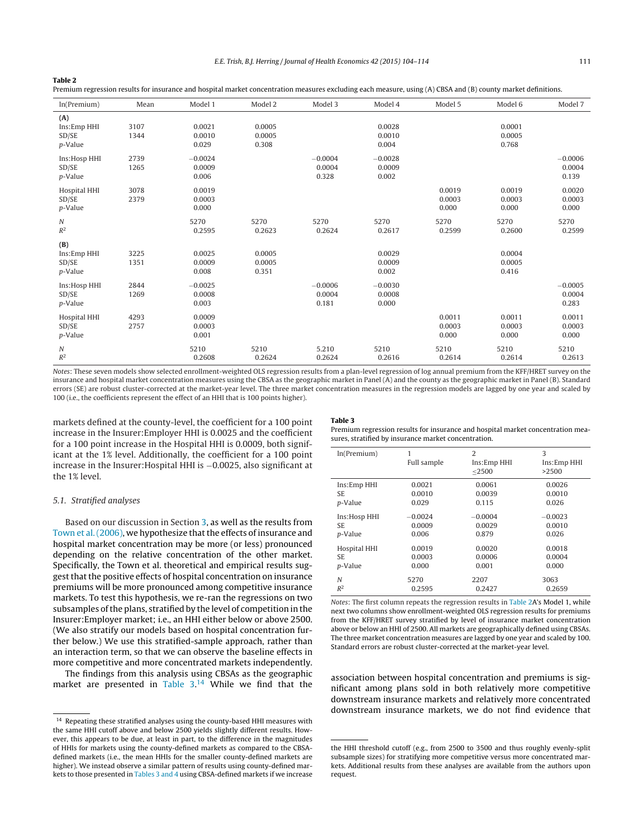#### <span id="page-7-0"></span>**Table 2**

Premium regression results for insurance and hospital market concentration measures excluding each measure, using (A) CBSA and (B) county market definitions.

| ln(Premium)                            | Mean         | Model 1                      | Model 2                   | Model 3                      | Model 4                      | Model 5                   | Model 6                   | Model 7                      |
|----------------------------------------|--------------|------------------------------|---------------------------|------------------------------|------------------------------|---------------------------|---------------------------|------------------------------|
| (A)<br>Ins:Emp HHI<br>SD/SE<br>p-Value | 3107<br>1344 | 0.0021<br>0.0010<br>0.029    | 0.0005<br>0.0005<br>0.308 |                              | 0.0028<br>0.0010<br>0.004    |                           | 0.0001<br>0.0005<br>0.768 |                              |
| Ins:Hosp HHI<br>SD/SE<br>p-Value       | 2739<br>1265 | $-0.0024$<br>0.0009<br>0.006 |                           | $-0.0004$<br>0.0004<br>0.328 | $-0.0028$<br>0.0009<br>0.002 |                           |                           | $-0.0006$<br>0.0004<br>0.139 |
| Hospital HHI<br>SD/SE<br>p-Value       | 3078<br>2379 | 0.0019<br>0.0003<br>0.000    |                           |                              |                              | 0.0019<br>0.0003<br>0.000 | 0.0019<br>0.0003<br>0.000 | 0.0020<br>0.0003<br>0.000    |
| Ν<br>$\mathbb{R}^2$                    |              | 5270<br>0.2595               | 5270<br>0.2623            | 5270<br>0.2624               | 5270<br>0.2617               | 5270<br>0.2599            | 5270<br>0.2600            | 5270<br>0.2599               |
| (B)<br>Ins:Emp HHI<br>SD/SE<br>p-Value | 3225<br>1351 | 0.0025<br>0.0009<br>0.008    | 0.0005<br>0.0005<br>0.351 |                              | 0.0029<br>0.0009<br>0.002    |                           | 0.0004<br>0.0005<br>0.416 |                              |
| Ins:Hosp HHI<br>SD/SE<br>p-Value       | 2844<br>1269 | $-0.0025$<br>0.0008<br>0.003 |                           | $-0.0006$<br>0.0004<br>0.181 | $-0.0030$<br>0.0008<br>0.000 |                           |                           | $-0.0005$<br>0.0004<br>0.283 |
| Hospital HHI<br>SD/SE<br>p-Value       | 4293<br>2757 | 0.0009<br>0.0003<br>0.001    |                           |                              |                              | 0.0011<br>0.0003<br>0.000 | 0.0011<br>0.0003<br>0.000 | 0.0011<br>0.0003<br>0.000    |
| Ν<br>$\mathbb{R}^2$                    |              | 5210<br>0.2608               | 5210<br>0.2624            | 5.210<br>0.2624              | 5210<br>0.2616               | 5210<br>0.2614            | 5210<br>0.2614            | 5210<br>0.2613               |

Notes: These seven models show selected enrollment-weighted OLS regression results from a plan-level regression of log annual premium from the KFF/HRET survey on the insurance and hospital market concentration measures using the CBSA as the geographic market in Panel (A) and the county as the geographic market in Panel (B). Standard errors (SE) are robust cluster-corrected at the market-year level. The three market concentration measures in the regression models are lagged by one year and scaled by 100 (i.e., the coefficients represent the effect of an HHI that is 100 points higher).

markets defined at the county-level, the coefficient for a 100 point increase in the Insurer:Employer HHI is 0.0025 and the coefficient for a 100 point increase in the Hospital HHI is 0.0009, both significant at the 1% level. Additionally, the coefficient for a 100 point increase in the Insurer:Hospital HHI is −0.0025, also significant at the 1% level.

### 5.1. Stratified analyses

Based on our discussion in Section [3,](#page-2-0) as well as the results from [Town](#page-10-0) et al. (2006), we hypothesize that the effects of insurance and hospital market concentration may be more (or less) pronounced depending on the relative concentration of the other market. Specifically, the Town et al. theoretical and empirical results suggest that the positive effects of hospital concentration on insurance premiums will be more pronounced among competitive insurance markets. To test this hypothesis, we re-ran the regressions on two subsamples ofthe plans, stratified by the level of competition in the Insurer:Employer market; i.e., an HHI either below or above 2500. (We also stratify our models based on hospital concentration further below.) We use this stratified-sample approach, rather than an interaction term, so that we can observe the baseline effects in more competitive and more concentrated markets independently.

The findings from this analysis using CBSAs as the geographic market are presented in Table 3.<sup>14</sup> While we find that the

#### **Table 3**

Premium regression results for insurance and hospital market concentration measures, stratified by insurance market concentration.

| ln(Premium)     | 1<br>Full sample | $\mathcal{L}$<br>Ins:Emp HHI<br>$<$ 2500 | 3<br>Ins:Emp HHI<br>>2500 |
|-----------------|------------------|------------------------------------------|---------------------------|
| Ins:Emp HHI     | 0.0021           | 0.0061                                   | 0.0026                    |
| SE.             | 0.0010           | 0.0039                                   | 0.0010                    |
| <i>p</i> -Value | 0.029            | 0.115                                    | 0.026                     |
| Ins:Hosp HHI    | $-0.0024$        | $-0.0004$                                | $-0.0023$                 |
| SE.             | 0.0009           | 0.0029                                   | 0.0010                    |
| <i>p</i> -Value | 0.006            | 0.879                                    | 0.026                     |
| Hospital HHI    | 0.0019           | 0.0020                                   | 0.0018                    |
| SE.             | 0.0003           | 0.0006                                   | 0.0004                    |
| <i>p</i> -Value | 0.000            | 0.001                                    | 0.000                     |
| N               | 5270             | 2207                                     | 3063                      |
| $R^2$           | 0.2595           | 0.2427                                   | 0.2659                    |

Notes: The first column repeats the regression results in Table 2A's Model 1, while next two columns show enrollment-weighted OLS regression results for premiums from the KFF/HRET survey stratified by level of insurance market concentration above or below an HHI of 2500. All markets are geographically defined using CBSAs. The three market concentration measures are lagged by one year and scaled by 100. Standard errors are robust cluster-corrected at the market-year level.

association between hospital concentration and premiums is significant among plans sold in both relatively more competitive downstream insurance markets and relatively more concentrated downstream insurance markets, we do not find evidence that

 $^{\rm 14}$  Repeating these stratified analyses using the county-based HHI measures with the same HHI cutoff above and below 2500 yields slightly different results. However, this appears to be due, at least in part, to the difference in the magnitudes of HHIs for markets using the county-defined markets as compared to the CBSAdefined markets (i.e., the mean HHIs for the smaller county-defined markets are higher). We instead observe a similar pattern of results using county-defined markets to those presented in Tables 3 and 4 using CBSA-defined markets if we increase

the HHI threshold cutoff (e.g., from 2500 to 3500 and thus roughly evenly-split subsample sizes) for stratifying more competitive versus more concentrated markets. Additional results from these analyses are available from the authors upon request.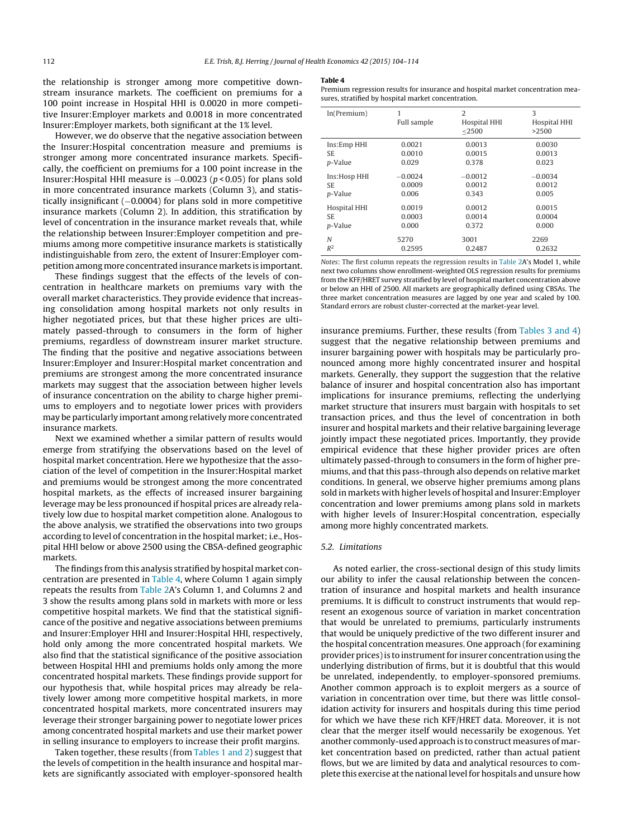the relationship is stronger among more competitive downstream insurance markets. The coefficient on premiums for a 100 point increase in Hospital HHI is 0.0020 in more competitive Insurer:Employer markets and 0.0018 in more concentrated Insurer:Employer markets, both significant at the 1% level.

However, we do observe that the negative association between the Insurer:Hospital concentration measure and premiums is stronger among more concentrated insurance markets. Specifically, the coefficient on premiums for a 100 point increase in the Insurer:Hospital HHI measure is  $-0.0023$  ( $p < 0.05$ ) for plans sold in more concentrated insurance markets (Column 3), and statistically insignificant (−0.0004) for plans sold in more competitive insurance markets (Column 2). In addition, this stratification by level of concentration in the insurance market reveals that, while the relationship between Insurer:Employer competition and premiums among more competitive insurance markets is statistically indistinguishable from zero, the extent of Insurer:Employer competition among more concentrated insurance markets is important.

These findings suggest that the effects of the levels of concentration in healthcare markets on premiums vary with the overall market characteristics. They provide evidence that increasing consolidation among hospital markets not only results in higher negotiated prices, but that these higher prices are ultimately passed-through to consumers in the form of higher premiums, regardless of downstream insurer market structure. The finding that the positive and negative associations between Insurer:Employer and Insurer:Hospital market concentration and premiums are strongest among the more concentrated insurance markets may suggest that the association between higher levels of insurance concentration on the ability to charge higher premiums to employers and to negotiate lower prices with providers may be particularly important among relatively more concentrated insurance markets.

Next we examined whether a similar pattern of results would emerge from stratifying the observations based on the level of hospital market concentration. Here we hypothesize that the association of the level of competition in the Insurer:Hospital market and premiums would be strongest among the more concentrated hospital markets, as the effects of increased insurer bargaining leverage may be less pronounced if hospital prices are already relatively low due to hospital market competition alone. Analogous to the above analysis, we stratified the observations into two groups according to level of concentration in the hospital market; i.e., Hospital HHI below or above 2500 using the CBSA-defined geographic markets.

The findings from this analysis stratified by hospital market concentration are presented in Table 4, where Column 1 again simply repeats the results from [Table](#page-7-0) 2A's Column 1, and Columns 2 and 3 show the results among plans sold in markets with more or less competitive hospital markets. We find that the statistical significance of the positive and negative associations between premiums and Insurer:Employer HHI and Insurer:Hospital HHI, respectively, hold only among the more concentrated hospital markets. We also find that the statistical significance of the positive association between Hospital HHI and premiums holds only among the more concentrated hospital markets. These findings provide support for our hypothesis that, while hospital prices may already be relatively lower among more competitive hospital markets, in more concentrated hospital markets, more concentrated insurers may leverage their stronger bargaining power to negotiate lower prices among concentrated hospital markets and use their market power in selling insurance to employers to increase their profit margins.

Taken together, these results (from [Tables](#page-6-0) 1 and 2) suggest that the levels of competition in the health insurance and hospital markets are significantly associated with employer-sponsored health

#### **Table 4**

Premium regression results for insurance and hospital market concentration measures, stratified by hospital market concentration.

| ln(Premium)     | 1<br>Full sample | $\overline{2}$<br>Hospital HHI<br>$<$ 2500 | 3<br>Hospital HHI<br>>2500 |
|-----------------|------------------|--------------------------------------------|----------------------------|
| Ins:Emp HHI     | 0.0021           | 0.0013                                     | 0.0030                     |
| SE.             | 0.0010           | 0.0015                                     | 0.0013                     |
| p-Value         | 0.029            | 0.378                                      | 0.023                      |
| Ins:Hosp HHI    | $-0.0024$        | $-0.0012$                                  | $-0.0034$                  |
| SE.             | 0.0009           | 0.0012                                     | 0.0012                     |
| <i>p</i> -Value | 0.006            | 0.343                                      | 0.005                      |
| Hospital HHI    | 0.0019           | 0.0012                                     | 0.0015                     |
| SE.             | 0.0003           | 0.0014                                     | 0.0004                     |
| p-Value         | 0.000            | 0.372                                      | 0.000                      |
| N               | 5270             | 3001                                       | 2269                       |
| $R^2$           | 0.2595           | 0.2487                                     | 0.2632                     |

Notes: The first column repeats the regression results in [Table](#page-7-0) 2A's Model 1, while next two columns show enrollment-weighted OLS regression results for premiums from the KFF/HRET survey stratified by level of hospital market concentration above or below an HHI of 2500. All markets are geographically defined using CBSAs. The three market concentration measures are lagged by one year and scaled by 100. Standard errors are robust cluster-corrected at the market-year level.

insurance premiums. Further, these results (from [Tables](#page-7-0) 3 and 4) suggest that the negative relationship between premiums and insurer bargaining power with hospitals may be particularly pronounced among more highly concentrated insurer and hospital markets. Generally, they support the suggestion that the relative balance of insurer and hospital concentration also has important implications for insurance premiums, reflecting the underlying market structure that insurers must bargain with hospitals to set transaction prices, and thus the level of concentration in both insurer and hospital markets and their relative bargaining leverage jointly impact these negotiated prices. Importantly, they provide empirical evidence that these higher provider prices are often ultimately passed-through to consumers in the form of higher premiums, and that this pass-through also depends on relative market conditions. In general, we observe higher premiums among plans sold in markets with higher levels of hospital and Insurer:Employer concentration and lower premiums among plans sold in markets with higher levels of Insurer:Hospital concentration, especially among more highly concentrated markets.

## 5.2. Limitations

As noted earlier, the cross-sectional design of this study limits our ability to infer the causal relationship between the concentration of insurance and hospital markets and health insurance premiums. It is difficult to construct instruments that would represent an exogenous source of variation in market concentration that would be unrelated to premiums, particularly instruments that would be uniquely predictive of the two different insurer and the hospital concentration measures. One approach (for examining provider prices) is to instrument for insurer concentration using the underlying distribution of firms, but it is doubtful that this would be unrelated, independently, to employer-sponsored premiums. Another common approach is to exploit mergers as a source of variation in concentration over time, but there was little consolidation activity for insurers and hospitals during this time period for which we have these rich KFF/HRET data. Moreover, it is not clear that the merger itself would necessarily be exogenous. Yet another commonly-used approach is to construct measures of market concentration based on predicted, rather than actual patient flows, but we are limited by data and analytical resources to complete this exercise at the national level for hospitals and unsure how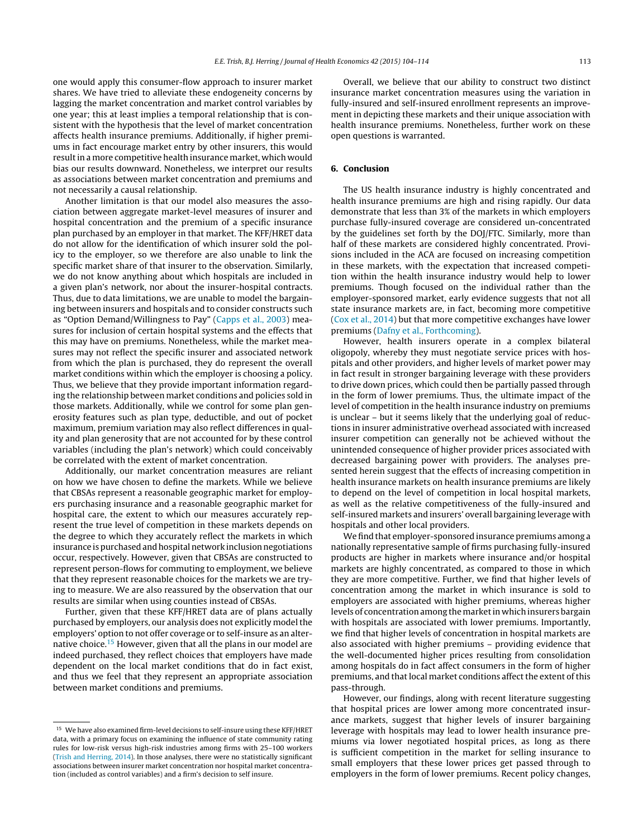one would apply this consumer-flow approach to insurer market shares. We have tried to alleviate these endogeneity concerns by lagging the market concentration and market control variables by one year; this at least implies a temporal relationship that is consistent with the hypothesis that the level of market concentration affects health insurance premiums. Additionally, if higher premiums in fact encourage market entry by other insurers, this would result in a more competitive health insurance market, which would bias our results downward. Nonetheless, we interpret our results as associations between market concentration and premiums and not necessarily a causal relationship.

Another limitation is that our model also measures the association between aggregate market-level measures of insurer and hospital concentration and the premium of a specific insurance plan purchased by an employer in that market. The KFF/HRET data do not allow for the identification of which insurer sold the policy to the employer, so we therefore are also unable to link the specific market share of that insurer to the observation. Similarly, we do not know anything about which hospitals are included in a given plan's network, nor about the insurer-hospital contracts. Thus, due to data limitations, we are unable to model the bargaining between insurers and hospitals and to consider constructs such as "Option Demand/Willingness to Pay" ([Capps](#page-10-0) et [al.,](#page-10-0) [2003\)](#page-10-0) measures for inclusion of certain hospital systems and the effects that this may have on premiums. Nonetheless, while the market measures may not reflect the specific insurer and associated network from which the plan is purchased, they do represent the overall market conditions within which the employer is choosing a policy. Thus, we believe that they provide important information regarding the relationship between market conditions and policies sold in those markets. Additionally, while we control for some plan generosity features such as plan type, deductible, and out of pocket maximum, premium variation may also reflect differences in quality and plan generosity that are not accounted for by these control variables (including the plan's network) which could conceivably be correlated with the extent of market concentration.

Additionally, our market concentration measures are reliant on how we have chosen to define the markets. While we believe that CBSAs represent a reasonable geographic market for employers purchasing insurance and a reasonable geographic market for hospital care, the extent to which our measures accurately represent the true level of competition in these markets depends on the degree to which they accurately reflect the markets in which insurance is purchased and hospital network inclusion negotiations occur, respectively. However, given that CBSAs are constructed to represent person-flows for commuting to employment, we believe that they represent reasonable choices for the markets we are trying to measure. We are also reassured by the observation that our results are similar when using counties instead of CBSAs.

Further, given that these KFF/HRET data are of plans actually purchased by employers, our analysis does not explicitly model the employers' option to not offer coverage or to self-insure as an alternative choice.15 However, given that all the plans in our model are indeed purchased, they reflect choices that employers have made dependent on the local market conditions that do in fact exist, and thus we feel that they represent an appropriate association between market conditions and premiums.

Overall, we believe that our ability to construct two distinct insurance market concentration measures using the variation in fully-insured and self-insured enrollment represents an improvement in depicting these markets and their unique association with health insurance premiums. Nonetheless, further work on these open questions is warranted.

# **6. Conclusion**

The US health insurance industry is highly concentrated and health insurance premiums are high and rising rapidly. Our data demonstrate that less than 3% of the markets in which employers purchase fully-insured coverage are considered un-concentrated by the guidelines set forth by the DOJ/FTC. Similarly, more than half of these markets are considered highly concentrated. Provisions included in the ACA are focused on increasing competition in these markets, with the expectation that increased competition within the health insurance industry would help to lower premiums. Though focused on the individual rather than the employer-sponsored market, early evidence suggests that not all state insurance markets are, in fact, becoming more competitive ([Cox](#page-10-0) et [al.,](#page-10-0) [2014\)](#page-10-0) but that more competitive exchanges have lower premiums [\(Dafny](#page-10-0) et [al.,](#page-10-0) [Forthcoming\).](#page-10-0)

However, health insurers operate in a complex bilateral oligopoly, whereby they must negotiate service prices with hospitals and other providers, and higher levels of market power may in fact result in stronger bargaining leverage with these providers to drive down prices, which could then be partially passed through in the form of lower premiums. Thus, the ultimate impact of the level of competition in the health insurance industry on premiums is unclear – but it seems likely that the underlying goal of reductions in insurer administrative overhead associated with increased insurer competition can generally not be achieved without the unintended consequence of higher provider prices associated with decreased bargaining power with providers. The analyses presented herein suggest that the effects of increasing competition in health insurance markets on health insurance premiums are likely to depend on the level of competition in local hospital markets, as well as the relative competitiveness of the fully-insured and self-insured markets and insurers' overall bargaining leverage with hospitals and other local providers.

We find that employer-sponsored insurance premiums among a nationally representative sample of firms purchasing fully-insured products are higher in markets where insurance and/or hospital markets are highly concentrated, as compared to those in which they are more competitive. Further, we find that higher levels of concentration among the market in which insurance is sold to employers are associated with higher premiums, whereas higher levels of concentration among the market in which insurers bargain with hospitals are associated with lower premiums. Importantly, we find that higher levels of concentration in hospital markets are also associated with higher premiums – providing evidence that the well-documented higher prices resulting from consolidation among hospitals do in fact affect consumers in the form of higher premiums, and that local market conditions affect the extent of this pass-through.

However, our findings, along with recent literature suggesting that hospital prices are lower among more concentrated insurance markets, suggest that higher levels of insurer bargaining leverage with hospitals may lead to lower health insurance premiums via lower negotiated hospital prices, as long as there is sufficient competition in the market for selling insurance to small employers that these lower prices get passed through to employers in the form of lower premiums. Recent policy changes,

 $^{\rm 15}$  We have also examined firm-level decisions to self-insure using these KFF/HRET data, with a primary focus on examining the influence of state community rating rules for low-risk versus high-risk industries among firms with 25–100 workers [\(Trish](#page-10-0) [and](#page-10-0) [Herring,](#page-10-0) [2014\).](#page-10-0) In those analyses, there were no statistically significant associations between insurer market concentration nor hospital market concentration (included as control variables) and a firm's decision to self insure.